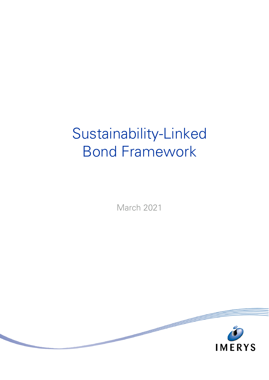# Sustainability-Linked Bond Framework

March 2021

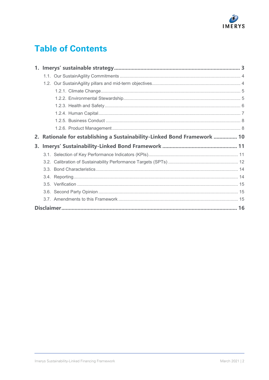

# **Table of Contents**

| 2. |  | Rationale for establishing a Sustainability-Linked Bond Framework  10 |  |
|----|--|-----------------------------------------------------------------------|--|
|    |  |                                                                       |  |
|    |  |                                                                       |  |
|    |  |                                                                       |  |
|    |  |                                                                       |  |
|    |  |                                                                       |  |
|    |  |                                                                       |  |
|    |  |                                                                       |  |
|    |  |                                                                       |  |
|    |  |                                                                       |  |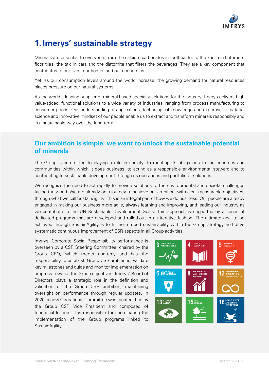

# <span id="page-2-0"></span>**1. Imerys' sustainable strategy**

Minerals are essential to everyone: from the calcium carbonates in toothpaste, to the kaolin in bathroom floor tiles, the talc in cars and the diatomite that filters the beverages. They are a key component that contributes to our lives, our homes and our economies.

Yet, as our consumption levels around the world increase, the growing demand for natural resources places pressure on our natural systems.

As the world's leading supplier of mineral-based specialty solutions for the industry, Imerys delivers high value-added, functional solutions to a wide variety of industries, ranging from process manufacturing to consumer goods. Our understanding of applications, technological knowledge and expertise in material science and innovative mindset of our people enable us to extract and transform minerals responsibly and in a sustainable way over the long term.

## **Our ambition is simple: we want to unlock the sustainable potential of minerals**

The Group is committed to playing a role in society, to meeting its obligations to the countries and communities within which it does business, to acting as a responsible environmental steward and to contributing to sustainable development through its operations and portfolio of solutions.

We recognize the need to act rapidly to provide solutions to the environmental and societal challenges facing the world. We are already on a journey to achieve our ambition, with clear measurable objectives, through what we call SustainAgility. This is an integral part of how we do business. Our people are already engaged in making our business more agile, always learning and improving, and leading our industry as we contribute to the UN Sustainable Development Goals. This approach is supported by a series of dedicated programs that are developed and rolled-out in an iterative fashion. The ultimate goal to be achieved through SustainAgility is to further embed sustainability within the Group strategy and drive systematic continuous improvement of CSR aspects in all Group activities.

Imerys' Corporate Social Responsibility performance is overseen by a CSR Steering Committee, chaired by the Group CEO, which meets quarterly and has the responsibility to establish Group CSR ambitions, validate key milestones and guide and monitor implementation on progress towards the Group objectives. Imerys' Board of Directors plays a strategic role in the definition and validation of the Group CSR ambition, maintaining oversight on performance through regular updates. In 2020, a new Operational Committee was created. Led by the Group CSR Vice President and composed of functional leaders, it is responsible for coordinating the implementation of the Group programs linked to SustainAgility.

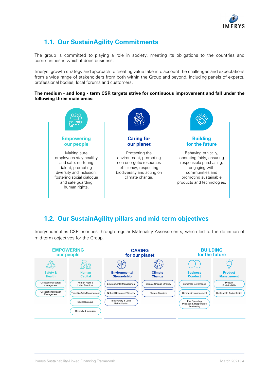

# <span id="page-3-0"></span>**1.1. Our SustainAgility Commitments**

The group is committed to playing a role in society, meeting its obligations to the countries and communities in which it does business.

Imerys' growth strategy and approach to creating value take into account the challenges and expectations from a wide range of stakeholders from both within the Group and beyond, including panels of experts, professional bodies, local forums and customers.

#### **The medium - and long - term CSR targets strive for continuous improvement and fall under the following three main areas:**



# <span id="page-3-1"></span>**1.2. Our SustainAgility pillars and mid-term objectives**

Imerys identifies CSR priorities through regular Materiality Assessments, which led to the definition of mid-term objectives for the Group.

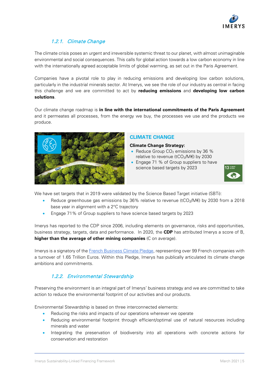

### 1.2.1. Climate Change

<span id="page-4-0"></span>The climate crisis poses an urgent and irreversible systemic threat to our planet, with almost unimaginable environmental and social consequences. This calls for global action towards a low carbon economy in line with the internationally agreed acceptable limits of global warming, as set out in the Paris Agreement.

Companies have a pivotal role to play in reducing emissions and developing low carbon solutions, particularly in the industrial minerals sector. At Imerys, we see the role of our industry as central in facing this challenge and we are committed to act by **reducing emissions** and **developing low carbon solutions**.

Our climate change roadmap is **in line with the international commitments of the Paris Agreement** and it permeates all processes, from the energy we buy, the processes we use and the products we produce.



#### **CLIMATE CHANGE**

#### **Climate Change Strategy:**

- Reduce Group  $CO<sub>2</sub>$  emissions by 36 % relative to revenue (tCO<sub>2</sub>/M€) by 2030
- Engage 71 % of Group suppliers to have science based targets by 2023



We have set targets that in 2019 were validated by the Science Based Target initiative (SBTi):

- Reduce greenhouse gas emissions by 36% relative to revenue (tCO<sub>2</sub>/M€) by 2030 from a 2018 base year in alignment with a 2°C trajectory
- Engage 71% of Group suppliers to have science based targets by 2023

Imerys has reported to the CDP since 2006, including elements on governance, risks and opportunities, business strategy, targets, data and performance. In 2020, the **CDP** has attributed Imerys a score of B, **higher than the average of other mining companies** (C on average).

Imerys is a signatory of the [French Business Climate Pledge,](https://www.imerys.com/sites/imerys.com/files/2020/04/17/Pledge%20Imerys%202019%20FR.pdf) representing over 99 French companies with a turnover of 1.65 Trillion Euros. Within this Pledge, Imerys has publically articulated its climate change ambitions and commitments.

#### 1.2.2. Environmental Stewardship

<span id="page-4-1"></span>Preserving the environment is an integral part of Imerys' business strategy and we are committed to take action to reduce the environmental footprint of our activities and our products.

Environmental Stewardship is based on three interconnected elements:

- Reducing the risks and impacts of our operations wherever we operate
- Reducing environmental footprint through efficient/optimal use of natural resources including minerals and water
- Integrating the preservation of biodiversity into all operations with concrete actions for conservation and restoration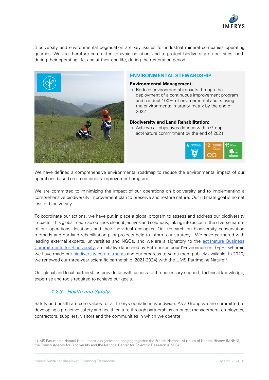

Biodiversity and environmental degradation are key issues for industrial mineral companies operating quarries. We are therefore committed to avoid pollution, and to protect biodiversity on our sites, both during their operating life, and at their end life, during the restoration period.



#### **ENVIRONMENTAL STEWARDSHIP**

#### **Environmental Management:**

• Reduce environmental impacts through the deployment of a continuous improvement program and conduct 100% of environmental audits using the environmental maturity matrix by the end of 2022

#### **Biodiversity and Land Rehabilitation:**

• Achieve all objectives defined within Group act4nature commitment by the end of 2021



We have defined a comprehensive environmental roadmap to reduce the environmental impact of our operations based on a continuous improvement program.

We are committed to minimizing the impact of our operations on biodiversity and to implementing a comprehensive biodiversity improvement plan to preserve and restore nature. Our ultimate goal is no net loss of biodiversity.

To coordinate our actions, we have put in place a global program to assess and address our biodiversity impacts. This global roadmap outlines clear objectives and solutions, taking into account the diverse nature of our operations, locations and their individual ecologies. Our research on biodiversity conservation methods and our land rehabilitation pilot projects help to inform our strategy. We have partnered with leading external experts, universities and NGOs, and we are a signatory to the [act4nature Business](http://www.act4nature.com/en/)  [Commitments for Biodiversity,](http://www.act4nature.com/en/) an initiative launched by Entreprises pour l'Environnement (EpE), wherein we have made our [biodiversity commitments](https://www.imerys.com/sites/imerys.com/files/2020/06/16/Act4Nature%20Commitments%202020%20EN.pdf) and our progress towards them publicly available. In 2020, we renewed our three-year scientific partnership (202[1](#page-5-1)-2024) with the UMS Patrimoine Naturel<sup>1</sup>.

Our global and local partnerships provide us with access to the necessary support, technical knowledge, expertise and tools required to achieve our goals.

### 1.2.3. Health and Safety

<span id="page-5-0"></span>Safety and health are core values for all Imerys operations worldwide. As a Group we are committed to developing a proactive safety and health culture through partnerships amongst management, employees, contractors, suppliers, visitors and the communities in which we operate.

<span id="page-5-1"></span> $\overline{a}$ <sup>1</sup> UMS Patrimoine Naturel is an umbrella organization bringing together the French National Museum of Natural History (MNHN), the French Agency for Biodiversity and the National Center for Scientific Research (CNRS).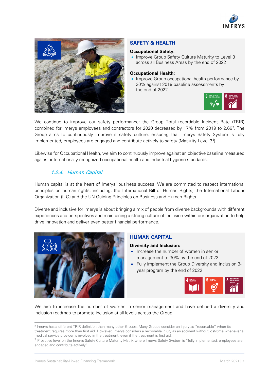



#### **SAFETY & HEALTH**

#### **Occupational Safety:**

• Improve Group Safety Culture Maturity to Level 3 across all Business Areas by the end of 2022

#### **Occupational Health:**

• Improve Group occupational health performance by 30% against 2019 baseline assessments by the end of 2022



We continue to improve our safety performance: the Group Total recordable Incident Rate (TRIR) combined for Imerys employees and contractors for [2](#page-6-1)020 decreased by 17% from 2019 to 2.66<sup>2</sup>. The Group aims to continuously improve it safety culture, ensuring that Imerys Safety System is fully implemented, employees are engaged and contribute actively to safety (Maturity Level [3](#page-6-2)<sup>3</sup>).

Likewise for Occupational Health, we aim to continuously improve against an objective baseline measured against internationally recognized occupational health and industrial hygiene standards.

### 1.2.4. Human Capital

<span id="page-6-0"></span>Human capital is at the heart of Imerys' business success. We are committed to respect international principles on human rights, including; the International Bill of Human Rights, the International Labour Organization (ILO) and the UN Guiding Principles on Business and Human Rights.

Diverse and inclusive for Imerys is about bringing a mix of people from diverse backgrounds with different experiences and perspectives and maintaining a strong culture of inclusion within our organization to help drive innovation and deliver even better financial performance.



#### **HUMAN CAPITAL**

#### **Diversity and Inclusion:**

- Increase the number of women in senior management to 30% by the end of 2022
- Fully implement the Group Diversity and Inclusion 3 year program by the end of 2022



We aim to increase the number of women in senior management and have defined a diversity and inclusion roadmap to promote inclusion at all levels across the Group.

<span id="page-6-1"></span><sup>-</sup><sup>2</sup> Imerys has a different TRIR definition than many other Groups. Many Groups consider an injury as "recordable" when its treatment requires more than first aid. However, Imerys considers a recordable injury as an accident without lost-time whenever a medical service provider is involved in the treatment, even if the treatment is first aid.

<span id="page-6-2"></span><sup>&</sup>lt;sup>3</sup> Proactive level on the Imerys Safety Culture Maturity Matrix where Imerys Safety System is "fully implemented, employees are engaged and contribute actively".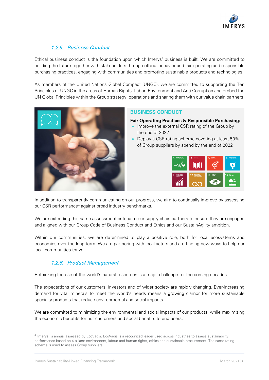

### 1.2.5. Business Conduct

<span id="page-7-0"></span>Ethical business conduct is the foundation upon which Imerys' business is built. We are committed to building the future together with stakeholders through ethical behavior and fair operating and responsible purchasing practices, engaging with communities and promoting sustainable products and technologies.

As members of the United Nations Global Compact (UNGC), we are committed to supporting the Ten Principles of UNGC in the areas of Human Rights, Labor, Environment and Anti-Corruption and embed the UN Global Principles within the Group strategy, operations and sharing them with our value chain partners.



#### **BUSINESS CONDUCT**

**Fair Operating Practices & Responsible Purchasing:**

- Improve the external CSR rating of the Group by the end of 2022
- Deploy a CSR rating scheme covering at least 50% of Group suppliers by spend by the end of 2022



In addition to transparently communicating on our progress, we aim to continually improve by assessing our CSR performance<sup>[4](#page-7-2)</sup> against broad industry benchmarks.

We are extending this same assessment criteria to our supply chain partners to ensure they are engaged and aligned with our Group Code of Business Conduct and Ethics and our SustainAgility ambition.

Within our communities, we are determined to play a positive role, both for local ecosystems and economies over the long-term. We are partnering with local actors and are finding new ways to help our local communities thrive.

### 1.2.6. Product Management

<span id="page-7-1"></span>Rethinking the use of the world's natural resources is a major challenge for the coming decades.

The expectations of our customers, investors and of wider society are rapidly changing. Ever-increasing demand for vital minerals to meet the world's needs means a growing clamor for more sustainable specialty products that reduce environmental and social impacts.

We are committed to minimizing the environmental and social impacts of our products, while maximizing the economic benefits for our customers and social benefits to end users.

-

<span id="page-7-2"></span><sup>4</sup> Imerys' is annual assessed by EcoVadis. EcoVadis is a recognized leader used across industries to assess sustainability performance based on 4 pillars: environment, labour and human rights, ethics and sustainable procurement. The same rating scheme is used to assess Group suppliers.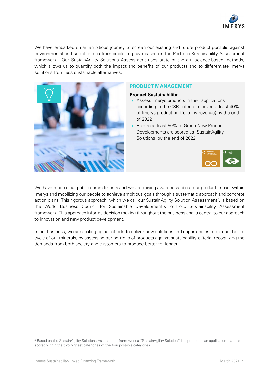

We have embarked on an ambitious journey to screen our existing and future product portfolio against environmental and social criteria from cradle to grave based on the Portfolio Sustainability Assessment framework. Our SustainAgility Solutions Assessment uses state of the art, science-based methods, which allows us to quantify both the impact and benefits of our products and to differentiate Imerys solutions from less sustainable alternatives.



#### **PRODUCT MANAGEMENT**

#### **Product Sustainability:**

- Assess Imerys products in their applications according to the CSR criteria to cover at least 40% of Imerys product portfolio (by revenue) by the end of 2022
- Ensure at least 50% of Group New Product Developments are scored as 'SustainAgility Solutions' by the end of 2022



We have made clear public commitments and we are raising awareness about our product impact within Imerys and mobilizing our people to achieve ambitious goals through a systematic approach and concrete action plans. This rigorous approach, which we call our SustainAgility Solution Assessment<sup>[5](#page-8-0)</sup>, is based on the World Business Council for Sustainable Development's Portfolio Sustainability Assessment framework. This approach informs decision making throughout the business and is central to our approach to innovation and new product development.

In our business, we are scaling up our efforts to deliver new solutions and opportunities to extend the life cycle of our minerals, by assessing our portfolio of products against sustainability criteria, recognizing the demands from both society and customers to produce better for longer.

<span id="page-8-0"></span> $\overline{a}$ <sup>5</sup> Based on the SustainAgility Solutions Assessment framework a "SustainAgility Solution" is a product in an application that has scored within the two highest categories of the four possible categories.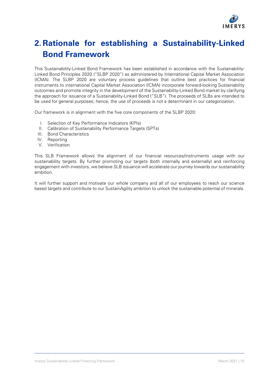

# <span id="page-9-0"></span>**2. Rationale for establishing a Sustainability-Linked Bond Framework**

This Sustainability-Linked Bond Framework has been established in accordance with the Sustainability-Linked Bond Principles 2020 ("SLBP 2020") as administered by International Capital Market Association (ICMA). The SLBP 2020 are voluntary process guidelines that outline best practices for financial instruments to international Capital Market Association (ICMA) incorporate forward-looking Sustainability outcomes and promote integrity in the development of the Sustainability-Linked Bond market by clarifying the approach for issuance of a Sustainability-Linked Bond ("SLB"). The proceeds of SLBs are intended to be used for general purposes; hence, the use of proceeds is not a determinant in our categorization.

Our framework is in alignment with the five core components of the SLBP 2020:

- I. Selection of Key Performance Indicators (KPIs)
- II. Calibration of Sustainability Performance Targets (SPTs)
- III. Bond Characteristics
- IV. Reporting
- V. Verification

This SLB Framework allows the alignment of our financial resources/instruments usage with our sustainability targets. By further promoting our targets (both internally and externally) and reinforcing engagement with investors, we believe SLB issuance will accelerate our journey towards our sustainability ambition.

It will further support and motivate our whole company and all of our employees to reach our science based targets and contribute to our SustainAgility ambition to unlock the sustainable potential of minerals.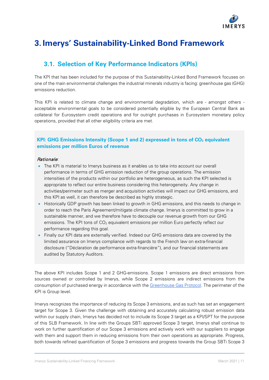

# <span id="page-10-0"></span>**3. Imerys' Sustainability-Linked Bond Framework**

# <span id="page-10-1"></span>**3.1. Selection of Key Performance Indicators (KPIs)**

The KPI that has been included for the purpose of this Sustainability-Linked Bond Framework focuses on one of the main environmental challenges the industrial minerals industry is facing: greenhouse gas (GHG) emissions reduction.

This KPI is related to climate change and environmental degradation, which are - amongst others acceptable environmental goals to be considered potentially eligible by the European Central Bank as collateral for Eurosystem credit operations and for outright purchases in Eurosystem monetary policy operations, provided that all other eligibility criteria are met.

#### **KPI: GHG Emissions Intensity (Scope 1 and 2) expressed in tons of CO<sub>2</sub> equivalent emissions per million Euros of revenue**

#### Rationale*:*

- The KPI is material to Imerys business as it enables us to take into account our overall performance in terms of GHG emission reduction of the group operations. The emission intensities of the products within our portfolio are heterogeneous, as such the KPI selected is appropriate to reflect our entire business considering this heterogeneity. Any change in activities/perimeter such as merger and acquisition activities will impact our GHG emissions, and this KPI as well, it can therefore be described as highly strategic.
- Historically GDP growth has been linked to growth in GHG emissions, and this needs to change in order to reach the Paris Agreement/mitigate climate change. Imerys is committed to grow in a sustainable manner, and we therefore have to decouple our revenue growth from our GHG emissions. The KPI tons of  $CO<sub>2</sub>$  equivalent emissions per million Euro perfectly reflect our performance regarding this goal.
- Finally our KPI data are externally verified. Indeed our GHG emissions data are covered by the limited assurance on Imerys compliance with regards to the French law on extra-financial disclosure ("Déclaration de performance extra-financière"), and our financial statements are audited by Statutory Auditors.

The above KPI includes Scope 1 and 2 GHG-emissions. Scope 1 emissions are direct emissions from sources owned or controlled by Imerys, while Scope 2 emissions are indirect emissions from the consumption of purchased energy in accordance with the [Greenhouse Gas Protocol.](https://ghgprotocol.org/) The perimeter of the KPI is Group level.

Imerys recognizes the importance of reducing its Scope 3 emissions, and as such has set an engagement target for Scope 3. Given the challenge with obtaining and accurately calculating robust emission data within our supply chain, Imerys has decided not to include its Scope 3 target as a KPI/SPT for the purpose of this SLB Framework. In line with the Groups SBTi approved Scope 3 target, Imerys shall continue to work on further quantification of our Scope 3 emissions and actively work with our suppliers to engage with them and support them in reducing emissions from their own operations as appropriate. Progress, both towards refined quantification of Scope 3 emissions and progress towards the Group SBTi Scope 3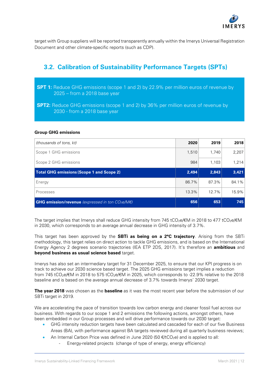

target with Group suppliers will be reported transparently annually within the Imerys Universal Registration Document and other climate-specific reports (such as CDP).

# <span id="page-11-0"></span>**3.2. Calibration of Sustainability Performance Targets (SPTs)**

- **SPT 1:** Reduce GHG emissions (scope 1 and 2) by 22.9% per million euros of revenue by 2025 – from a 2018 base year
- **SPT2:** Reduce GHG emissions (scope 1 and 2) by 36% per million euros of revenue by 2030 - from a 2018 base year

#### **Group GHG emissions**

| (thousands of tons, kt)                                   |       | 2019           | 2018  |
|-----------------------------------------------------------|-------|----------------|-------|
| Scope 1 GHG emissions                                     |       | 1,740          | 2,207 |
| Scope 2 GHG emissions                                     |       | 1.103          | 1,214 |
| <b>Total GHG emissions (Scope 1 and Scope 2)</b>          |       | 2,494<br>2,843 | 3,421 |
| Energy                                                    | 86.7% | 87.3%          | 84.1% |
| Processes                                                 |       | 12.7%          | 15.9% |
| <b>GHG emission/revenue</b> (expressed in ton $CO2e/ME$ ) |       | 653            | 745   |

The target implies that Imerys shall reduce GHG intensity from 745 tCO<sub>2</sub>e/ $\epsilon$ M in 2018 to 477 tCO<sub>2</sub>e/ $\epsilon$ M in 2030, which corresponds to an average annual decrease in GHG intensity of 3.7%.

This target has been approved by the **SBTi as being on a 2°C trajectory**. Arising from the SBTi methodology, this target relies on direct action to tackle GHG emissions, and is based on the International Energy Agency 2 degrees scenario trajectories (IEA ETP 2DS, 2017). It's therefore an **ambitious** and **beyond business as usual science based** target.

Imerys has also set an intermediary target for 31 December 2025, to ensure that our KPI progress is on track to achieve our 2030 science based target. The 2025 GHG emissions target implies a reduction from 745 tCO<sub>2</sub>e/€M in 2018 to 575 tCO<sub>2</sub>e/€M in 2025, which corresponds to -22.9% relative to the 2018 baseline and is based on the average annual decrease of 3.7% towards Imerys' 2030 target.

**The year 2018** was chosen as the **baseline** as it was the most recent year before the submission of our SBTi target in 2019.

We are accelerating the pace of transition towards low carbon energy and cleaner fossil fuel across our business. With regards to our scope 1 and 2 emissions the following actions, amongst others, have been embedded in our Group processes and will drive performance towards our 2030 target:

- GHG intensity reduction targets have been calculated and cascaded for each of our five Business Areas (BA), with performance against BA targets reviewed during all quarterly business reviews;
- An Internal Carbon Price was defined in June 2020 (50  $\epsilon$ /tCO<sub>2</sub>e) and is applied to all:
	- Energy-related projects (change of type of energy, energy efficiency)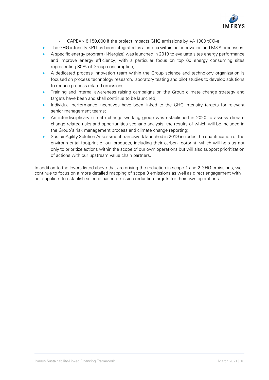

- CAPEX>  $\epsilon$  150,000 if the project impacts GHG emissions by +/- 1000 tCO<sub>2</sub>e
- The GHG intensity KPI has been integrated as a criteria within our innovation and M&A processes;
- A specific energy program (I-Nergize) was launched in 2019 to evaluate sites energy performance and improve energy efficiency, with a particular focus on top 60 energy consuming sites representing 80% of Group consumption;
- A dedicated process innovation team within the Group science and technology organization is focused on process technology research, laboratory testing and pilot studies to develop solutions to reduce process related emissions;
- Training and internal awareness raising campaigns on the Group climate change strategy and targets have been and shall continue to be launched:
- Individual performance incentives have been linked to the GHG intensity targets for relevant senior management teams;
- An interdisciplinary climate change working group was established in 2020 to assess climate change related risks and opportunities scenario analysis, the results of which will be included in the Group's risk management process and climate change reporting;
- SustainAgility Solution Assessment framework launched in 2019 includes the quantification of the environmental footprint of our products, including their carbon footprint, which will help us not only to prioritize actions within the scope of our own operations but will also support prioritization of actions with our upstream value chain partners.

In addition to the levers listed above that are driving the reduction in scope 1 and 2 GHG emissions, we continue to focus on a more detailed mapping of scope 3 emissions as well as direct engagement with our suppliers to establish science based emission reduction targets for their own operations.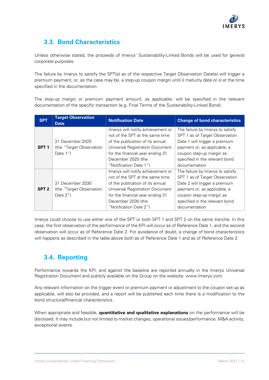

# <span id="page-13-0"></span>**3.3. Bond Characteristics**

Unless otherwise stated, the proceeds of Imerys' Sustainability-Linked Bonds will be used for general corporate purposes.

The failure by Imerys to satisfy the SPT(s) as of the respective Target Observation Date(s) will trigger a premium payment, or, as the case may be, a step-up coupon margin until i) maturity date or ii) at the time specified in the documentation.

The step-up margin or premium payment amount, as applicable, will be specified in the relevant documentation of the specific transaction (e.g. Final Terms of the Sustainability-Linked Bond).

| <b>SPT</b>       | <b>Target Observation</b><br><b>Date</b>                  | <b>Notification Date</b>                                                                                                                                                                                                               | <b>Change of bond characteristics</b>                                                                                                                                                                              |
|------------------|-----------------------------------------------------------|----------------------------------------------------------------------------------------------------------------------------------------------------------------------------------------------------------------------------------------|--------------------------------------------------------------------------------------------------------------------------------------------------------------------------------------------------------------------|
| SPT <sub>1</sub> | 31 December 2025<br>(the "Target Observation<br>Date $1"$ | Imerys will notify achievement or<br>not of the SPT at the same time<br>of the publication of its annual<br><b>Universal Registration Document</b><br>for the financial year ending 31<br>December 2025 (the<br>"Notification Date 1") | The failure by Imerys to satisfy<br>SPT 1 as of Target Observation<br>Date 1 will trigger a premium<br>payment or, as applicable, a<br>coupon step-up margin as<br>specified in the relevant bond<br>documentation |
| SPT <sub>2</sub> | 31 December 2030<br>(the "Target Observation<br>Date $2"$ | Imerys will notify achievement or<br>not of the SPT at the same time<br>of the publication of its annual<br><b>Universal Registration Document</b><br>for the financial year ending 31<br>December 2030 (the<br>"Notification Date 2") | The failure by Imerys to satisfy<br>SPT 1 as of Target Observation<br>Date 2 will trigger a premium<br>payment or, as applicable, a<br>coupon step-up margin as<br>specified in the relevant bond<br>documentation |

Imerys could choose to use either one of the SPT or both SPT 1 and SPT 2 on the same tranche. In this case, the first observation of the performance of the KPI will occur as of Reference Date 1, and the second observation will occur as of Reference Date 2. For avoidance of doubt, a change of bond characteristics will happens as described in the table above both as of Reference Date 1 and as of Reference Date 2.

# <span id="page-13-1"></span>**3.4. Reporting**

Performance towards the KPI, and against the baseline are reported annually in the Imerys Universal Registration Document and publicly available on the Group on the website: [www.Imerys.com.](http://www.imerys.com/)

Any relevant information on the trigger event or premium payment or adjustment to the coupon set-up as applicable, will also be provided, and a report will be published each time there is a modification to the bond structural/financial characteristics.

When appropriate and feasible, **quantitative and qualitative explanations** on the performance will be disclosed. It may include but not limited to market changes, operational issues/performance, M&A activity, exceptional events.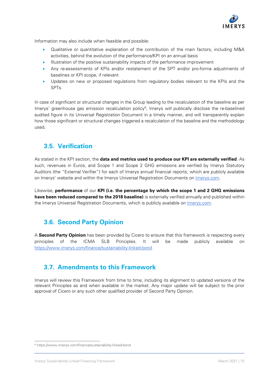

Information may also include when feasible and possible:

- Qualitative or quantitative explanation of the contribution of the main factors, including M&A activities, behind the evolution of the performance/KPI on an annual basis
- Illustration of the positive sustainability impacts of the performance improvement
- Any re-assessments of KPIs and/or restatement of the SPT and/or pro-forma adjustments of baselines or KPI scope, if relevant
- Updates on new or proposed regulations from regulatory bodies relevant to the KPIs and the SPTs.

In case of significant or structural changes in the Group leading to the recalculation of the baseline as per Imerys' greenhouse gas emission recalculation policy<sup>[6](#page-14-3)</sup>, Imerys will publically disclose the re-baselined audited figure in its Universal Registration Document in a timely manner, and will transparently explain how those significant or structural changes triggered a recalculation of the baseline and the methodology used.

# <span id="page-14-0"></span>**3.5. Verification**

As stated in the KPI section, the **data and metrics used to produce our KPI are externally verified**. As such, revenues in Euros, and Scope 1 and Scope 2 GHG emissions are verified by Imerys Statutory Auditors (the "External Verifier") for each of Imerys annual financial reports, which are publicly available on Imerys' website and within the Imerys Universal Registration Documents on *Imerys.com.* 

Likewise, **performance** of our **KPI (i.e. the percentage by which the scope 1 and 2 GHG emissions have been reduced compared to the 2018 baseline)** is externally verified annually and published within the Imerys Universal Registration Documents, which is publicly available on [Imerys.com](https://www.imerys.com/media-center?f%5B34%5D=c%3A421)*.*

# <span id="page-14-1"></span>**3.6. Second Party Opinion**

A **Second Party Opinion** has been provided by Cicero to ensure that this framework is respecting every principles of the ICMA SLB Principles. It will be made publicly available on [https://www.imerys.com/finance/sustainability-linked-bond.](https://www.imerys.com/finance/sustainability-linked-bond)

# <span id="page-14-2"></span>**3.7. Amendments to this Framework**

Imerys will review this Framework from time to time, including its alignment to updated versions of the relevant Principles as and when available in the market. Any major update will be subject to the prior approval of Cicero or any such other qualified provider of Second Party Opinion.

 $\overline{a}$ 

<span id="page-14-3"></span><sup>6</sup> https://www.imerys.com/finance/sustainability-linked-bond